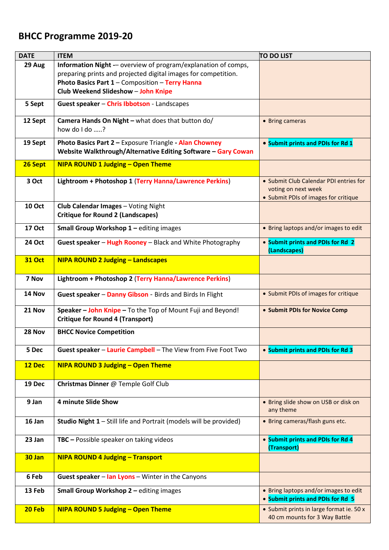## **BHCC Programme 2019-20**

| <b>DATE</b>   | <b>ITEM</b>                                                                                                             | <b>TO DO LIST</b>                                                          |
|---------------|-------------------------------------------------------------------------------------------------------------------------|----------------------------------------------------------------------------|
| 29 Aug        | <b>Information Night --</b> overview of program/explanation of comps,                                                   |                                                                            |
|               | preparing prints and projected digital images for competition.                                                          |                                                                            |
|               | Photo Basics Part 1 - Composition - Terry Hanna                                                                         |                                                                            |
|               | Club Weekend Slideshow - John Knipe                                                                                     |                                                                            |
| 5 Sept        | Guest speaker - Chris Ibbotson - Landscapes                                                                             |                                                                            |
| 12 Sept       | Camera Hands On Night - what does that button do/                                                                       | • Bring cameras                                                            |
|               | how do I do ?                                                                                                           |                                                                            |
| 19 Sept       | Photo Basics Part 2 - Exposure Triangle - Alan Chowney<br>Website Walkthrough/Alternative Editing Software - Gary Cowan | • Submit prints and PDIs for Rd 1                                          |
|               |                                                                                                                         |                                                                            |
| 26 Sept       | <b>NIPA ROUND 1 Judging - Open Theme</b>                                                                                |                                                                            |
| 3 Oct         | Lightroom + Photoshop 1 (Terry Hanna/Lawrence Perkins)                                                                  | • Submit Club Calendar PDI entries for                                     |
|               |                                                                                                                         | voting on next week                                                        |
|               |                                                                                                                         | • Submit PDIs of images for critique                                       |
| <b>10 Oct</b> | <b>Club Calendar Images - Voting Night</b><br><b>Critique for Round 2 (Landscapes)</b>                                  |                                                                            |
|               |                                                                                                                         |                                                                            |
| <b>17 Oct</b> | Small Group Workshop 1 - editing images                                                                                 | • Bring laptops and/or images to edit                                      |
| 24 Oct        | Guest speaker - Hugh Rooney - Black and White Photography                                                               | • Submit prints and PDIs for Rd 2<br>(Landscapes)                          |
| <b>31 Oct</b> | <b>NIPA ROUND 2 Judging - Landscapes</b>                                                                                |                                                                            |
| 7 Nov         | Lightroom + Photoshop 2 (Terry Hanna/Lawrence Perkins)                                                                  |                                                                            |
| 14 Nov        | Guest speaker - Danny Gibson - Birds and Birds In Flight                                                                | • Submit PDIs of images for critique                                       |
| 21 Nov        | Speaker - John Knipe - To the Top of Mount Fuji and Beyond!<br><b>Critique for Round 4 (Transport)</b>                  | • Submit PDIs for Novice Comp                                              |
| 28 Nov        | <b>BHCC Novice Competition</b>                                                                                          |                                                                            |
| 5 Dec         | Guest speaker - Laurie Campbell - The View from Five Foot Two                                                           | • Submit prints and PDIs for Rd 3                                          |
| 12 Dec        | NIPA ROUND 3 Judging - Open Theme                                                                                       |                                                                            |
| 19 Dec        | Christmas Dinner @ Temple Golf Club                                                                                     |                                                                            |
| 9 Jan         | 4 minute Slide Show                                                                                                     | • Bring slide show on USB or disk on<br>any theme                          |
| 16 Jan        | Studio Night 1 - Still life and Portrait (models will be provided)                                                      | • Bring cameras/flash guns etc.                                            |
| 23 Jan        | TBC - Possible speaker on taking videos                                                                                 | • Submit prints and PDIs for Rd 4<br>(Transport)                           |
| 30 Jan        | <b>NIPA ROUND 4 Judging - Transport</b>                                                                                 |                                                                            |
|               |                                                                                                                         |                                                                            |
| 6 Feb         | Guest speaker - lan Lyons - Winter in the Canyons                                                                       |                                                                            |
| 13 Feb        | <b>Small Group Workshop 2 - editing images</b>                                                                          | • Bring laptops and/or images to edit<br>• Submit prints and PDIs for Rd 5 |
| 20 Feb        | <b>NIPA ROUND 5 Judging - Open Theme</b>                                                                                | • Submit prints in large format ie. 50 x                                   |
|               |                                                                                                                         | 40 cm mounts for 3 Way Battle                                              |